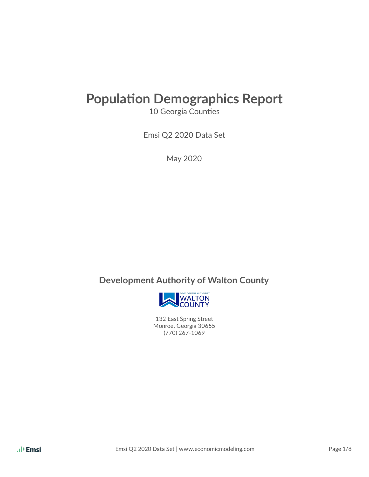# **Population Demographics Report**

10 Georgia Counties

Emsi Q2 2020 Data Set

May 2020

### **Development Authority of Walton County**



132 East Spring Street Monroe, Georgia 30655 (770) 267-1069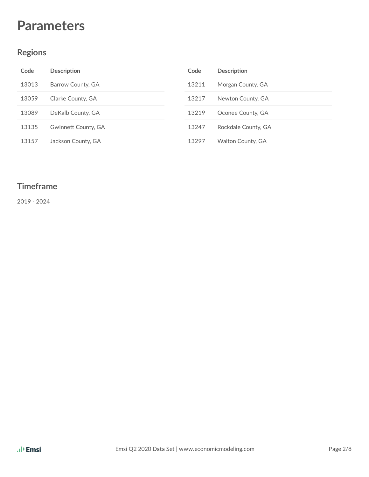## **Parameters**

#### **Regions**

| Code  | <b>Description</b>  | Code  | <b>Description</b>       |
|-------|---------------------|-------|--------------------------|
| 13013 | Barrow County, GA   | 13211 | Morgan County, GA        |
| 13059 | Clarke County, GA   | 13217 | Newton County, GA        |
| 13089 | DeKalb County, GA   | 13219 | Oconee County, GA        |
| 13135 | Gwinnett County, GA | 13247 | Rockdale County, GA      |
| 13157 | Jackson County, GA  | 13297 | <b>Walton County, GA</b> |

#### **Timeframe**

- 2024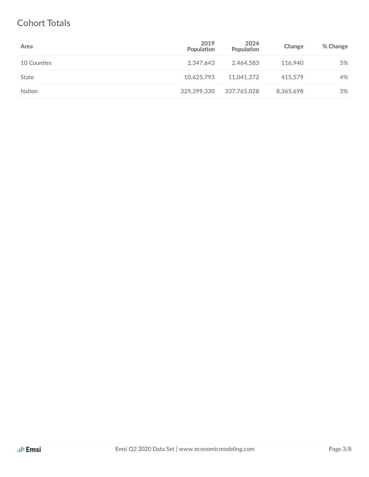### **Cohort Totals**

| Area        | 2019<br>Population | 2024<br>Population | Change    | % Change |
|-------------|--------------------|--------------------|-----------|----------|
| 10 Counties | 2,347,643          | 2,464,583          | 116.940   | 5%       |
| State       | 10.625.793         | 11.041.372         | 415.579   | 4%       |
| Nation      | 329,399,330        | 337.765.028        | 8,365,698 | 3%       |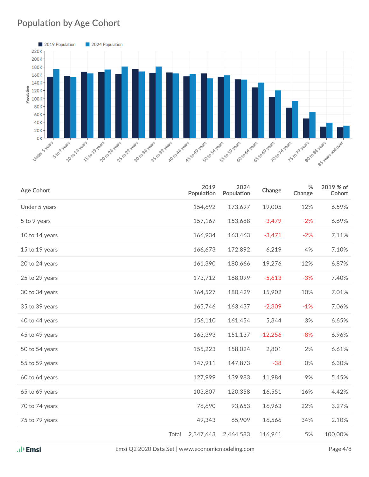### **Population by Age Cohort**



| <b>Age Cohort</b> |       | 2019<br>Population | 2024<br>Population | Change    | $\%$<br>Change | 2019 % of<br>Cohort |
|-------------------|-------|--------------------|--------------------|-----------|----------------|---------------------|
| Under 5 years     |       | 154,692            | 173,697            | 19,005    | 12%            | 6.59%               |
| 5 to 9 years      |       | 157,167            | 153,688            | $-3,479$  | $-2%$          | 6.69%               |
| 10 to 14 years    |       | 166,934            | 163,463            | $-3,471$  | $-2%$          | 7.11%               |
| 15 to 19 years    |       | 166,673            | 172,892            | 6,219     | 4%             | 7.10%               |
| 20 to 24 years    |       | 161,390            | 180,666            | 19,276    | 12%            | 6.87%               |
| 25 to 29 years    |       | 173,712            | 168,099            | $-5,613$  | $-3%$          | 7.40%               |
| 30 to 34 years    |       | 164,527            | 180,429            | 15,902    | 10%            | 7.01%               |
| 35 to 39 years    |       | 165,746            | 163,437            | $-2,309$  | $-1%$          | 7.06%               |
| 40 to 44 years    |       | 156,110            | 161,454            | 5,344     | 3%             | 6.65%               |
| 45 to 49 years    |       | 163,393            | 151,137            | $-12,256$ | $-8%$          | 6.96%               |
| 50 to 54 years    |       | 155,223            | 158,024            | 2,801     | 2%             | 6.61%               |
| 55 to 59 years    |       | 147,911            | 147,873            | $-38$     | 0%             | 6.30%               |
| 60 to 64 years    |       | 127,999            | 139,983            | 11,984    | 9%             | 5.45%               |
| 65 to 69 years    |       | 103,807            | 120,358            | 16,551    | 16%            | 4.42%               |
| 70 to 74 years    |       | 76,690             | 93,653             | 16,963    | 22%            | 3.27%               |
| 75 to 79 years    |       | 49,343             | 65,909             | 16,566    | 34%            | 2.10%               |
|                   | Total | 2,347,643          | 2,464,583          | 116,941   | 5%             | 100.00%             |

Emsi Q2 2020 Data Set | www.economicmodeling.com Page 4/8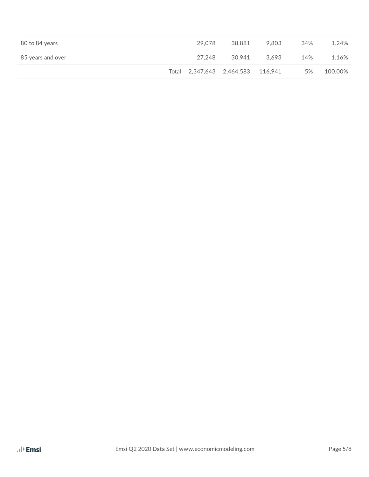| 80 to 84 years    | 29.078 | 38,881                            | 9.803 | 34% | 1.24%   |
|-------------------|--------|-----------------------------------|-------|-----|---------|
| 85 years and over | 27.248 | 30.941                            | 3.693 | 14% | 1.16%   |
|                   |        | Total 2,347,643 2,464,583 116,941 |       | 5%  | 100.00% |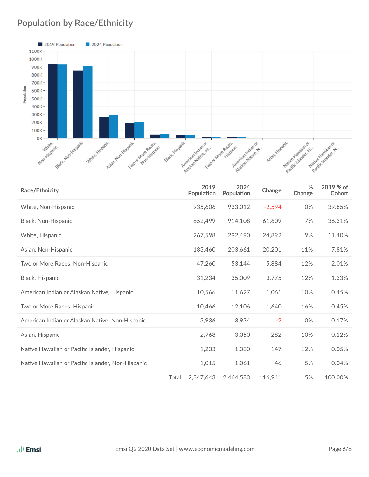### **Population by Race/Ethnicity**



| Race/Ethnicity                                    |       | 2019<br>Population | 2024<br>Population | Change   | %<br>Change | 2019 % of<br>Cohort |
|---------------------------------------------------|-------|--------------------|--------------------|----------|-------------|---------------------|
| White, Non-Hispanic                               |       | 935,606            | 933,012            | $-2,594$ | 0%          | 39.85%              |
| Black, Non-Hispanic                               |       | 852,499            | 914,108            | 61,609   | 7%          | 36.31%              |
| White, Hispanic                                   |       | 267,598            | 292,490            | 24,892   | 9%          | 11.40%              |
| Asian, Non-Hispanic                               |       | 183,460            | 203,661            | 20,201   | 11%         | 7.81%               |
| Two or More Races, Non-Hispanic                   |       | 47,260             | 53,144             | 5,884    | 12%         | 2.01%               |
| Black, Hispanic                                   |       | 31,234             | 35,009             | 3,775    | 12%         | 1.33%               |
| American Indian or Alaskan Native, Hispanic       |       | 10,566             | 11,627             | 1,061    | 10%         | 0.45%               |
| Two or More Races, Hispanic                       |       | 10.466             | 12,106             | 1,640    | 16%         | 0.45%               |
| American Indian or Alaskan Native, Non-Hispanic   |       | 3,936              | 3,934              | $-2$     | 0%          | 0.17%               |
| Asian, Hispanic                                   |       | 2,768              | 3,050              | 282      | 10%         | 0.12%               |
| Native Hawaiian or Pacific Islander, Hispanic     |       | 1,233              | 1,380              | 147      | 12%         | 0.05%               |
| Native Hawaiian or Pacific Islander, Non-Hispanic |       | 1,015              | 1,061              | 46       | 5%          | 0.04%               |
|                                                   | Total | 2,347,643          | 2.464.583          | 116.941  | 5%          | 100.00%             |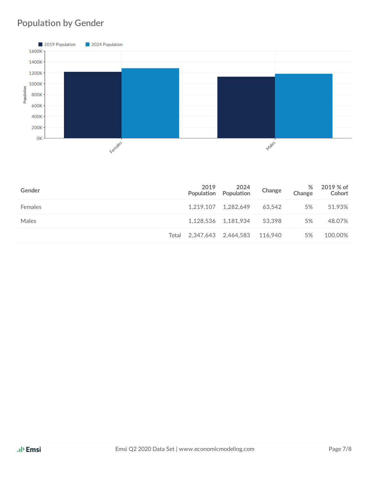## **Population by Gender**



| Gender  | 2019                              | 2024<br>Population Population | Change | %<br>Change | 2019 % of<br>Cohort |
|---------|-----------------------------------|-------------------------------|--------|-------------|---------------------|
| Females |                                   | 1.219.107 1.282.649           | 63.542 | 5%          | 51.93%              |
| Males   |                                   | 1,128,536 1,181,934           | 53.398 | 5%          | 48.07%              |
|         | Total 2,347,643 2,464,583 116,940 |                               |        | 5%          | 100.00%             |